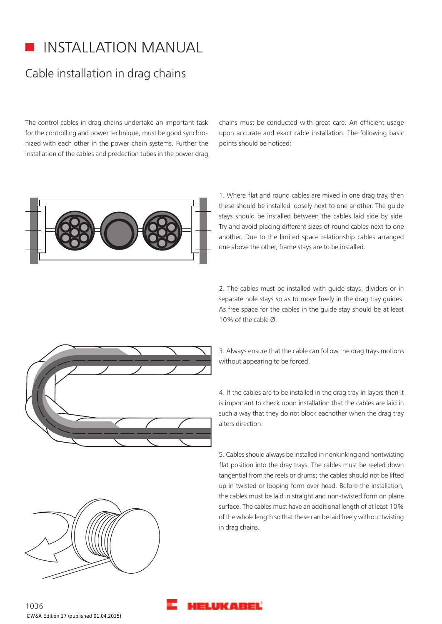## INSTALLATION MANUAL

## Cable installation in drag chains

The control cables in drag chains undertake an important task for the controlling and power technique, must be good synchronized with each other in the power chain systems. Further the installation of the cables and predection tubes in the power drag chains must be conducted with great care. An efficient usage upon accurate and exact cable installation. The following basic points should be noticed:



1. Where flat and round cables are mixed in one drag tray, then these should be installed loosely next to one another. The guide stays should be installed between the cables laid side by side. Try and avoid placing different sizes of round cables next to one another. Due to the limited space relationship cables arranged one above the other, frame stays are to be installed.

2. The cables must be installed with guide stays, dividers or in separate hole stays so as to move freely in the drag tray guides. As free space for the cables in the guide stay should be at least 10% of the cable Ø.

3. Always ensure that the cable can follow the drag trays motions without appearing to be forced.

4. If the cables are to be installed in the drag tray in layers then it is important to check upon installation that the cables are laid in such a way that they do not block eachother when the drag tray alters direction.

5. Cables should always be installed in nonkinking and nontwisting flat position into the dray trays. The cables must be reeled down tangential from the reels or drums; the cables should not be lifted up in twisted or looping form over head. Before the installation, the cables must be laid in straight and non-twisted form on plane surface. The cables must have an additional length of at least 10% of the whole length so that these can be laid freely without twisting in drag chains.